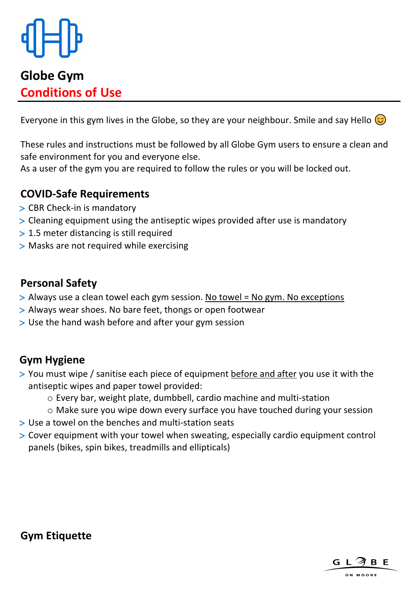

# **Globe Gym Conditions of Use**

Everyone in this gym lives in the Globe, so they are your neighbour. Smile and say Hello  $\circled{3}$ 

These rules and instructions must be followed by all Globe Gym users to ensure a clean and safe environment for you and everyone else.

As a user of the gym you are required to follow the rules or you will be locked out.

# **COVID-Safe Requirements**

- > Always use a clean towel each gym session. No towel = No gym. No exceptions
- > Always wear shoes. No bare feet, thongs or open footwear
- > Use the hand wash before and after your gym session
- > CBR Check-in is mandatory
- > Cleaning equipment using the antiseptic wipes provided after use is mandatory
- > 1.5 meter distancing is still required
- > Masks are not required while exercising

# **Personal Safety**

- > You must wipe / sanitise each piece of equipment before and after you use it with the antiseptic wipes and paper towel provided:
	- o Every bar, weight plate, dumbbell, cardio machine and multi-station
	- o Make sure you wipe down every surface you have touched during your session
- > Use a towel on the benches and multi-station seats
- > Cover equipment with your towel when sweating, especially cardio equipment control

# **Gym Hygiene**

panels (bikes, spin bikes, treadmills and ellipticals)

#### **Gym Etiquette**



ON MOORE